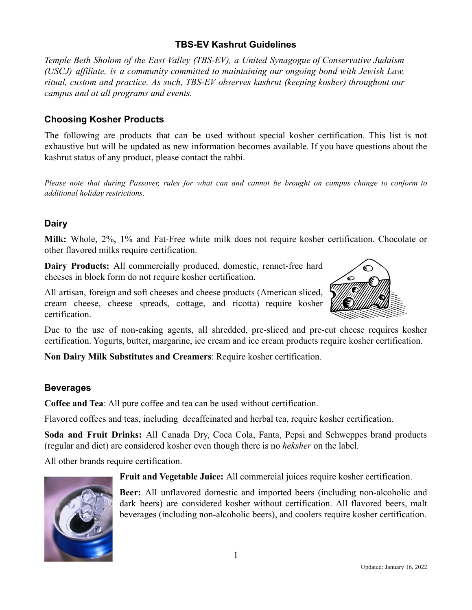## **TBS-EV Kashrut Guidelines**

*Temple Beth Sholom of the East Valley (TBS-EV), a United Synagogue of Conservative Judaism (USCJ) affiliate, is a community committed to maintaining our ongoing bond with Jewish Law, ritual, custom and practice. As such, TBS-EV observes kashrut (keeping kosher) throughout our campus and at all programs and events.*

## **Choosing Kosher Products**

The following are products that can be used without special kosher certification. This list is not exhaustive but will be updated as new information becomes available. If you have questions about the kashrut status of any product, please contact the rabbi.

Please note that during Passover, rules for what can and cannot be brought on campus change to conform to *additional holiday restrictions*.

## **Dairy**

**Milk:** Whole, 2%, 1% and Fat-Free white milk does not require kosher certification. Chocolate or other flavored milks require certification.

**Dairy Products:** All commercially produced, domestic, rennet-free hard cheeses in block form do not require kosher certification.

All artisan, foreign and soft cheeses and cheese products (American sliced, cream cheese, cheese spreads, cottage, and ricotta) require kosher certification.



Due to the use of non-caking agents, all shredded, pre-sliced and pre-cut cheese requires kosher certification. Yogurts, butter, margarine, ice cream and ice cream products require kosher certification.

**Non Dairy Milk Substitutes and Creamers**: Require kosher certification.

## **Beverages**

**Coffee and Tea**: All pure coffee and tea can be used without certification.

Flavored coffees and teas, including decaffeinated and herbal tea, require kosher certification.

**Soda and Fruit Drinks:** All Canada Dry, Coca Cola, Fanta, Pepsi and Schweppes brand products (regular and diet) are considered kosher even though there is no *heksher* on the label.

All other brands require certification.



**Beer:** All unflavored domestic and imported beers (including non-alcoholic and dark beers) are considered kosher without certification. All flavored beers, malt beverages (including non-alcoholic beers), and coolers require kosher certification.

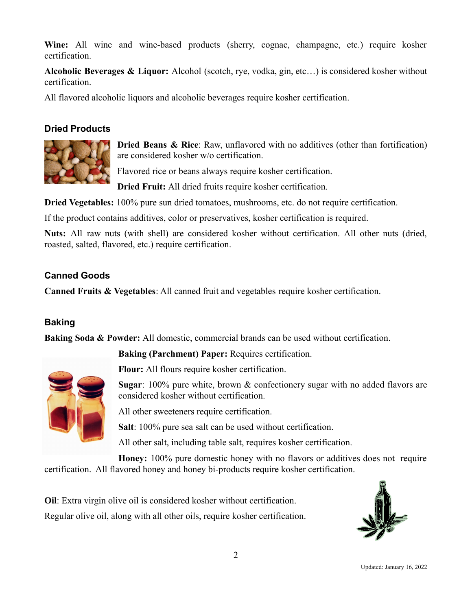**Wine:** All wine and wine-based products (sherry, cognac, champagne, etc.) require kosher certification.

**Alcoholic Beverages & Liquor:** Alcohol (scotch, rye, vodka, gin, etc…) is considered kosher without certification.

All flavored alcoholic liquors and alcoholic beverages require kosher certification.

# **Dried Products**



**Dried Beans & Rice**: Raw, unflavored with no additives (other than fortification) are considered kosher w/o certification.

Flavored rice or beans always require kosher certification.

**Dried Fruit:** All dried fruits require kosher certification.

**Dried Vegetables:** 100% pure sun dried tomatoes, mushrooms, etc. do not require certification.

If the product contains additives, color or preservatives, kosher certification is required.

**Nuts:** All raw nuts (with shell) are considered kosher without certification. All other nuts (dried, roasted, salted, flavored, etc.) require certification.

# **Canned Goods**

**Canned Fruits & Vegetables**: All canned fruit and vegetables require kosher certification.

# **Baking**

**Baking Soda & Powder:** All domestic, commercial brands can be used without certification.

**Baking (Parchment) Paper:** Requires certification.



**Flour:** All flours require kosher certification.

**Sugar**: 100% pure white, brown & confectionery sugar with no added flavors are considered kosher without certification.

All other sweeteners require certification.

**Salt**: 100% pure sea salt can be used without certification.

All other salt, including table salt, requires kosher certification.

**Honey:** 100% pure domestic honey with no flavors or additives does not require certification. All flavored honey and honey bi-products require kosher certification.

**Oil**: Extra virgin olive oil is considered kosher without certification. Regular olive oil, along with all other oils, require kosher certification.

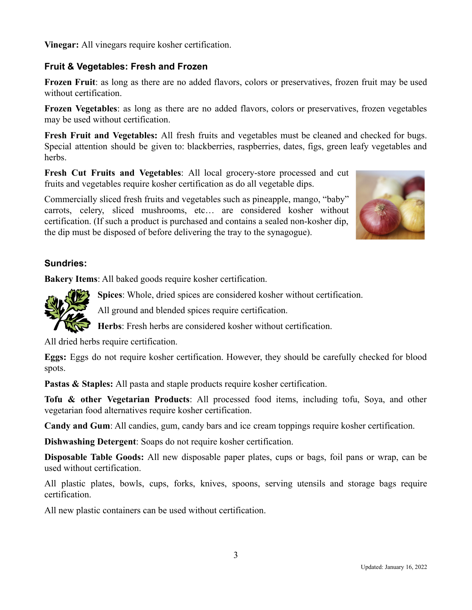**Vinegar:** All vinegars require kosher certification.

# **Fruit & Vegetables: Fresh and Frozen**

**Frozen Fruit**: as long as there are no added flavors, colors or preservatives, frozen fruit may be used without certification.

**Frozen Vegetables**: as long as there are no added flavors, colors or preservatives, frozen vegetables may be used without certification.

**Fresh Fruit and Vegetables:** All fresh fruits and vegetables must be cleaned and checked for bugs. Special attention should be given to: blackberries, raspberries, dates, figs, green leafy vegetables and herbs.

**Fresh Cut Fruits and Vegetables**: All local grocery-store processed and cut fruits and vegetables require kosher certification as do all vegetable dips.

Commercially sliced fresh fruits and vegetables such as pineapple, mango, "baby" carrots, celery, sliced mushrooms, etc… are considered kosher without certification. (If such a product is purchased and contains a sealed non-kosher dip, the dip must be disposed of before delivering the tray to the synagogue).



## **Sundries:**

**Bakery Items**: All baked goods require kosher certification.



**Spices**: Whole, dried spices are considered kosher without certification.

All ground and blended spices require certification.

**Herbs**: Fresh herbs are considered kosher without certification.

All dried herbs require certification.

**Eggs:** Eggs do not require kosher certification. However, they should be carefully checked for blood spots.

**Pastas & Staples:** All pasta and staple products require kosher certification.

**Tofu & other Vegetarian Products**: All processed food items, including tofu, Soya, and other vegetarian food alternatives require kosher certification.

**Candy and Gum**: All candies, gum, candy bars and ice cream toppings require kosher certification.

**Dishwashing Detergent**: Soaps do not require kosher certification.

**Disposable Table Goods:** All new disposable paper plates, cups or bags, foil pans or wrap, can be used without certification.

All plastic plates, bowls, cups, forks, knives, spoons, serving utensils and storage bags require certification.

All new plastic containers can be used without certification.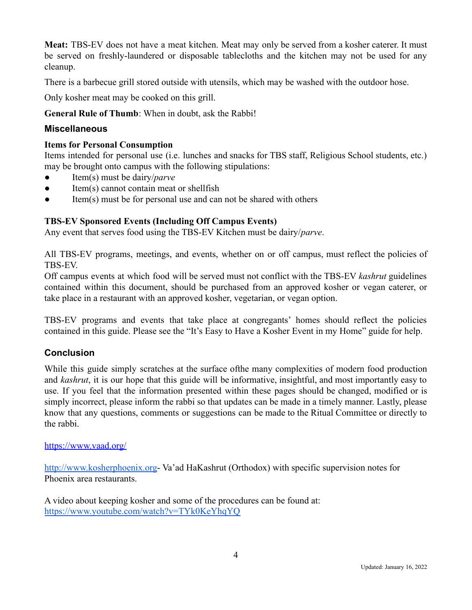**Meat:** TBS-EV does not have a meat kitchen. Meat may only be served from a kosher caterer. It must be served on freshly-laundered or disposable tablecloths and the kitchen may not be used for any cleanup.

There is a barbecue grill stored outside with utensils, which may be washed with the outdoor hose.

Only kosher meat may be cooked on this grill.

**General Rule of Thumb**: When in doubt, ask the Rabbi!

#### **Miscellaneous**

#### **Items for Personal Consumption**

Items intended for personal use (i.e. lunches and snacks for TBS staff, Religious School students, etc.) may be brought onto campus with the following stipulations:

- Item(s) must be dairy/*parve*
- Item(s) cannot contain meat or shellfish
- Item(s) must be for personal use and can not be shared with others

#### **TBS-EV Sponsored Events (Including Off Campus Events)**

Any event that serves food using the TBS-EV Kitchen must be dairy/*parve*.

All TBS-EV programs, meetings, and events, whether on or off campus, must reflect the policies of TBS-EV.

Off campus events at which food will be served must not conflict with the TBS-EV *kashrut* guidelines contained within this document, should be purchased from an approved kosher or vegan caterer, or take place in a restaurant with an approved kosher, vegetarian, or vegan option.

TBS-EV programs and events that take place at congregants' homes should reflect the policies contained in this guide. Please see the "It's Easy to Have a Kosher Event in my Home" guide for help.

#### **Conclusion**

While this guide simply scratches at the surface ofthe many complexities of modern food production and *kashrut*, it is our hope that this guide will be informative, insightful, and most importantly easy to use. If you feel that the information presented within these pages should be changed, modified or is simply incorrect, please inform the rabbi so that updates can be made in a timely manner. Lastly, please know that any questions, comments or suggestions can be made to the Ritual Committee or directly to the rabbi.

#### <https://www.vaad.org/>

[http://www.kosherphoenix.org-](http://www.kosherphoenix.org) Va'ad HaKashrut (Orthodox) with specific supervision notes for Phoenix area restaurants.

A video about keeping kosher and some of the procedures can be found at: <https://www.youtube.com/watch?v=TYk0KeYhqYQ>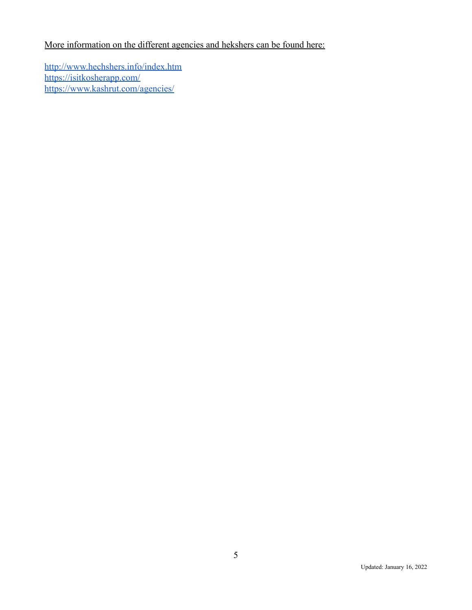# More information on the different agencies and hekshers can be found here:

<http://www.hechshers.info/index.htm> <https://isitkosherapp.com/> https://www.kashrut.com/agencies/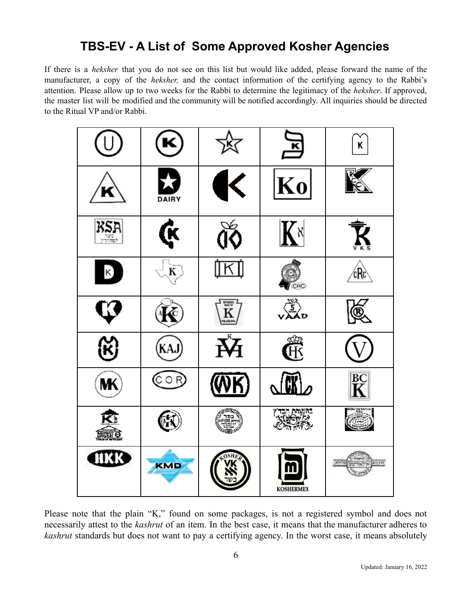# **TBS-EV - A List of Some Approved Kosher Agencies**

If there is a *heksher* that you do not see on this list but would like added, please forward the name of the manufacturer, a copy of the *heksher,* and the contact information of the certifying agency to the Rabbi's attention. Please allow up to two weeks for the Rabbi to determine the legitimacy of the *heksher*. If approved, the master list will be modified and the community will be notified accordingly. All inquiries should be directed to the Ritual VP and/or Rabbi.

| U,                        | K                        | 区                       | 园                | Κ                    |
|---------------------------|--------------------------|-------------------------|------------------|----------------------|
|                           | 27<br>DAIRY              | $\blacktriangle$<br>ı   | Ko               |                      |
| RSA                       | Ģ                        | бÓ                      | K×               |                      |
| $\kappa$                  | $\widetilde{\mathbf{K}}$ | [K]                     | CRC              | ćRc                  |
| $\boldsymbol{\mathbb{C}}$ |                          | $\mathbf{K}$            | vÃo<br>vÃo       | <u>T</u>             |
| $\mathfrak{B}$            | (KAJ)                    | $\overline{\mathbf{K}}$ | Ê                |                      |
| MК                        | (Cor}                    | <u>(WK)</u>             | Ŋ                | $R\overline{K}$      |
| <u>त्रिः</u><br>mà.       |                          | ਿਤਲ ਨੂ<br>ਅਨੁਲਵੇਮਾ      | th mun<br>(1002) |                      |
| HKK                       | <b>KMD</b>               |                         | <b>KOSHERMEX</b> | NY<br>הכפאן אילאייטע |

Please note that the plain "K," found on some packages, is not a registered symbol and does not necessarily attest to the *kashrut* of an item. In the best case, it means that the manufacturer adheres to *kashrut* standards but does not want to pay a certifying agency. In the worst case, it means absolutely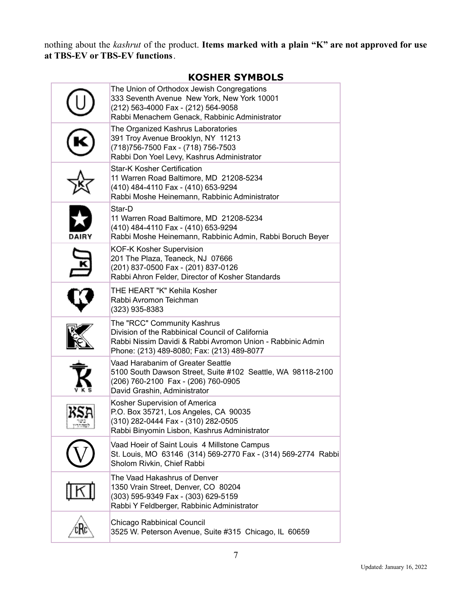nothing about the *kashrut* of the product. **Items marked with a plain "K" are not approved for use at TBS-EV or TBS-EV functions**.

# **KOSHER SYMBOLS**

| The Union of Orthodox Jewish Congregations<br>333 Seventh Avenue New York, New York 10001<br>(212) 563-4000 Fax - (212) 564-9058<br>Rabbi Menachem Genack, Rabbinic Administrator           |
|---------------------------------------------------------------------------------------------------------------------------------------------------------------------------------------------|
| The Organized Kashrus Laboratories<br>391 Troy Avenue Brooklyn, NY 11213<br>(718) 756-7500 Fax - (718) 756-7503<br>Rabbi Don Yoel Levy, Kashrus Administrator                               |
| <b>Star-K Kosher Certification</b><br>11 Warren Road Baltimore, MD 21208-5234<br>(410) 484-4110 Fax - (410) 653-9294<br>Rabbi Moshe Heinemann, Rabbinic Administrator                       |
| Star-D<br>11 Warren Road Baltimore, MD 21208-5234<br>(410) 484-4110 Fax - (410) 653-9294<br>Rabbi Moshe Heinemann, Rabbinic Admin, Rabbi Boruch Beyer                                       |
| <b>KOF-K Kosher Supervision</b><br>201 The Plaza, Teaneck, NJ 07666<br>(201) 837-0500 Fax - (201) 837-0126<br>Rabbi Ahron Felder, Director of Kosher Standards                              |
| THE HEART "K" Kehila Kosher<br>Rabbi Avromon Teichman<br>$(323)$ 935-8383                                                                                                                   |
| The "RCC" Community Kashrus<br>Division of the Rabbinical Council of California<br>Rabbi Nissim Davidi & Rabbi Avromon Union - Rabbinic Admin<br>Phone: (213) 489-8080; Fax: (213) 489-8077 |
| Vaad Harabanim of Greater Seattle<br>5100 South Dawson Street, Suite #102 Seattle, WA 98118-2100<br>(206) 760-2100 Fax - (206) 760-0905<br>David Grashin, Administrator                     |
| Kosher Supervision of America<br>P.O. Box 35721, Los Angeles, CA 90035<br>(310) 282-0444 Fax - (310) 282-0505<br>Rabbi Binyomin Lisbon, Kashrus Administrator                               |
| Vaad Hoeir of Saint Louis 4 Millstone Campus<br>St. Louis, MO 63146 (314) 569-2770 Fax - (314) 569-2774 Rabbi<br>Sholom Rivkin, Chief Rabbi                                                 |
| The Vaad Hakashrus of Denver<br>1350 Vrain Street, Denver, CO 80204<br>(303) 595-9349 Fax - (303) 629-5159<br>Rabbi Y Feldberger, Rabbinic Administrator                                    |
| Chicago Rabbinical Council<br>3525 W. Peterson Avenue, Suite #315 Chicago, IL 60659                                                                                                         |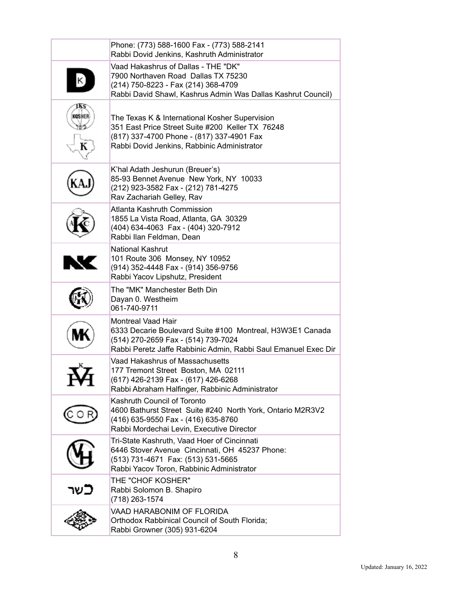|           | Phone: (773) 588-1600 Fax - (773) 588-2141<br>Rabbi Dovid Jenkins, Kashruth Administrator                                                                                                       |
|-----------|-------------------------------------------------------------------------------------------------------------------------------------------------------------------------------------------------|
|           | Vaad Hakashrus of Dallas - THE "DK"<br>7900 Northaven Road Dallas TX 75230<br>(214) 750-8223 - Fax (214) 368-4709<br>Rabbi David Shawl, Kashrus Admin Was Dallas Kashrut Council)               |
| KOSHER    | The Texas K & International Kosher Supervision<br>351 East Price Street Suite #200 Keller TX 76248<br>(817) 337-4700 Phone - (817) 337-4901 Fax<br>Rabbi Dovid Jenkins, Rabbinic Administrator  |
|           | K'hal Adath Jeshurun (Breuer's)<br>85-93 Bennet Avenue New York, NY 10033<br>(212) 923-3582 Fax - (212) 781-4275<br>Rav Zachariah Gelley, Rav                                                   |
|           | Atlanta Kashruth Commission<br>1855 La Vista Road, Atlanta, GA 30329<br>(404) 634-4063 Fax - (404) 320-7912<br>Rabbi Ilan Feldman, Dean                                                         |
| <b>NC</b> | <b>National Kashrut</b><br>101 Route 306 Monsey, NY 10952<br>(914) 352-4448 Fax - (914) 356-9756<br>Rabbi Yacov Lipshutz, President                                                             |
|           | The "MK" Manchester Beth Din<br>Dayan 0. Westheim<br>061-740-9711                                                                                                                               |
|           | <b>Montreal Vaad Hair</b><br>6333 Decarie Boulevard Suite #100 Montreal, H3W3E1 Canada<br>(514) 270-2659 Fax - (514) 739-7024<br>Rabbi Peretz Jaffe Rabbinic Admin, Rabbi Saul Emanuel Exec Dir |
|           | Vaad Hakashrus of Massachusetts<br>177 Tremont Street Boston, MA 02111<br>(617) 426-2139 Fax - (617) 426-6268<br>Rabbi Abraham Halfinger, Rabbinic Administrator                                |
|           | Kashruth Council of Toronto<br>4600 Bathurst Street Suite #240 North York, Ontario M2R3V2<br>(416) 635-9550 Fax - (416) 635-8760<br>Rabbi Mordechai Levin, Executive Director                   |
|           | Tri-State Kashruth, Vaad Hoer of Cincinnati<br>6446 Stover Avenue Cincinnati, OH 45237 Phone:<br>(513) 731-4671 Fax: (513) 531-5665<br>Rabbi Yacov Toron, Rabbinic Administrator                |
| כשר       | THE "CHOF KOSHER"<br>Rabbi Solomon B. Shapiro<br>(718) 263-1574                                                                                                                                 |
|           | VAAD HARABONIM OF FLORIDA<br>Orthodox Rabbinical Council of South Florida;<br>Rabbi Growner (305) 931-6204                                                                                      |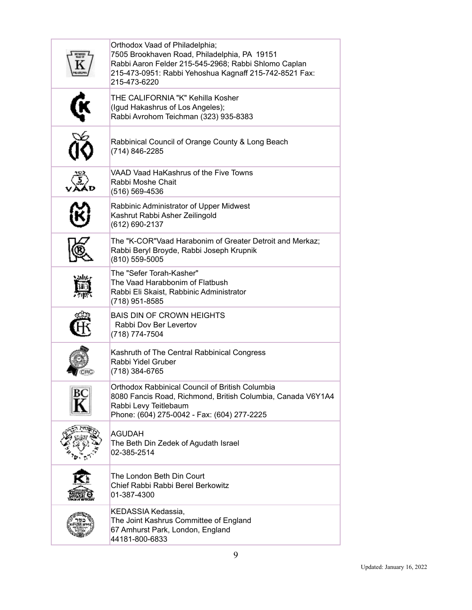| Orthodox Vaad of Philadelphia;<br>7505 Brookhaven Road, Philadelphia, PA 19151<br>Rabbi Aaron Felder 215-545-2968; Rabbi Shlomo Caplan<br>215-473-0951: Rabbi Yehoshua Kagnaff 215-742-8521 Fax:<br>215-473-6220 |
|------------------------------------------------------------------------------------------------------------------------------------------------------------------------------------------------------------------|
| THE CALIFORNIA "K" Kehilla Kosher<br>(Igud Hakashrus of Los Angeles);<br>Rabbi Avrohom Teichman (323) 935-8383                                                                                                   |
| Rabbinical Council of Orange County & Long Beach<br>(714) 846-2285                                                                                                                                               |
| VAAD Vaad HaKashrus of the Five Towns<br>Rabbi Moshe Chait<br>(516) 569-4536                                                                                                                                     |
| Rabbinic Administrator of Upper Midwest<br>Kashrut Rabbi Asher Zeilingold<br>(612) 690-2137                                                                                                                      |
| The "K-COR"Vaad Harabonim of Greater Detroit and Merkaz;<br>Rabbi Beryl Broyde, Rabbi Joseph Krupnik<br>(810) 559-5005                                                                                           |
| The "Sefer Torah-Kasher"<br>The Vaad Harabbonim of Flatbush<br>Rabbi Eli Skaist, Rabbinic Administrator<br>(718) 951-8585                                                                                        |
| <b>BAIS DIN OF CROWN HEIGHTS</b><br>Rabbi Dov Ber Levertov<br>(718) 774-7504                                                                                                                                     |
| Kashruth of The Central Rabbinical Congress<br>Rabbi Yidel Gruber<br>(718) 384-6765                                                                                                                              |
| Orthodox Rabbinical Council of British Columbia<br>8080 Fancis Road, Richmond, British Columbia, Canada V6Y1A4<br>Rabbi Levy Teitlebaum<br>Phone: (604) 275-0042 - Fax: (604) 277-2225                           |
| <b>AGUDAH</b><br>The Beth Din Zedek of Agudath Israel<br>02-385-2514                                                                                                                                             |
| The London Beth Din Court<br>Chief Rabbi Rabbi Berel Berkowitz<br>01-387-4300                                                                                                                                    |
| KEDASSIA Kedassia,<br>The Joint Kashrus Committee of England<br>67 Amhurst Park, London, England<br>44181-800-6833                                                                                               |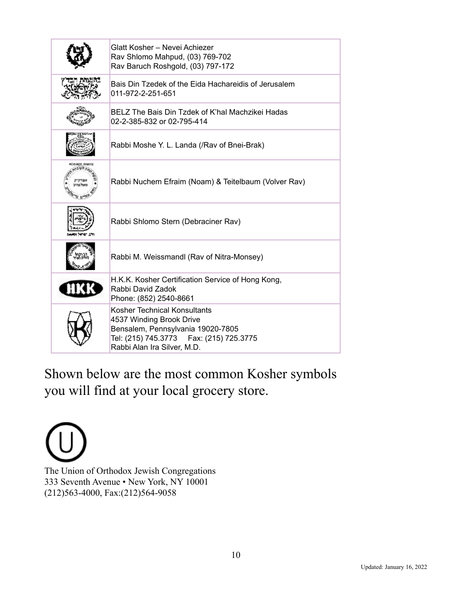| Glatt Kosher - Nevei Achiezer<br>Rav Shlomo Mahpud, (03) 769-702<br>Rav Baruch Roshgold, (03) 797-172                                                                     |
|---------------------------------------------------------------------------------------------------------------------------------------------------------------------------|
| Bais Din Tzedek of the Eida Hachareidis of Jerusalem<br>011-972-2-251-651                                                                                                 |
| BELZ The Bais Din Tzdek of K'hal Machzikei Hadas<br>02-2-385-832 or 02-795-414                                                                                            |
| Rabbi Moshe Y. L. Landa (/Rav of Bnei-Brak)                                                                                                                               |
| Rabbi Nuchem Efraim (Noam) & Teitelbaum (Volver Rav)                                                                                                                      |
| Rabbi Shlomo Stern (Debraciner Rav)                                                                                                                                       |
| Rabbi M. Weissmandl (Rav of Nitra-Monsey)                                                                                                                                 |
| H.K.K. Kosher Certification Service of Hong Kong,<br>Rabbi David Zadok<br>Phone: (852) 2540-8661                                                                          |
| Kosher Technical Konsultants<br>4537 Winding Brook Drive<br>Bensalem, Pennsylvania 19020-7805<br>Tel: (215) 745.3773   Fax: (215) 725.3775<br>Rabbi Alan Ira Silver, M.D. |

Shown below are the most common Kosher symbols you will find at your local grocery store.

The Union of Orthodox Jewish Congregations 333 Seventh Avenue • New York, NY 10001 (212)563-4000, Fax:(212)564-9058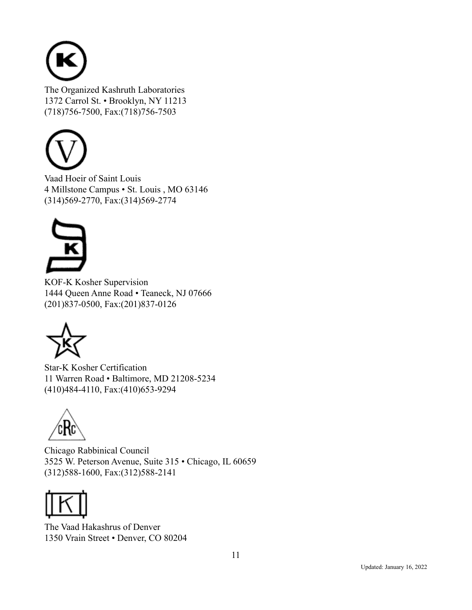

The Organized Kashruth Laboratories 1372 Carrol St. • Brooklyn, NY 11213 (718)756-7500, Fax:(718)756-7503



Vaad Hoeir of Saint Louis 4 Millstone Campus • St. Louis , MO 63146 (314)569-2770, Fax:(314)569-2774



KOF-K Kosher Supervision 1444 Queen Anne Road • Teaneck, NJ 07666 (201)837-0500, Fax:(201)837-0126



Star-K Kosher Certification 11 Warren Road • Baltimore, MD 21208-5234 (410)484-4110, Fax:(410)653-9294



Chicago Rabbinical Council 3525 W. Peterson Avenue, Suite 315 • Chicago, IL 60659 (312)588-1600, Fax:(312)588-2141



The Vaad Hakashrus of Denver 1350 Vrain Street • Denver, CO 80204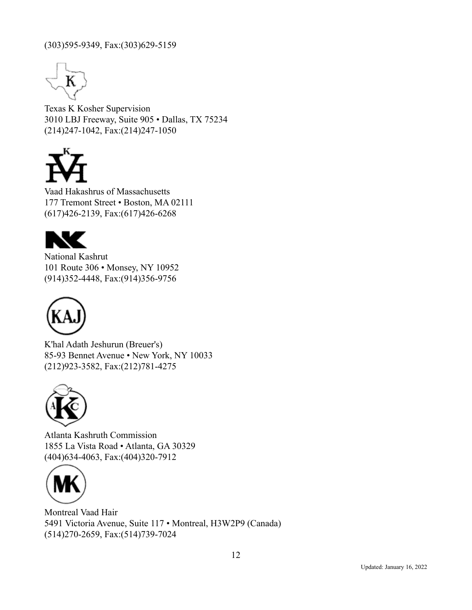### (303)595-9349, Fax:(303)629-5159



Texas K Kosher Supervision 3010 LBJ Freeway, Suite 905 • Dallas, TX 75234 (214)247-1042, Fax:(214)247-1050



Vaad Hakashrus of Massachusetts 177 Tremont Street • Boston, MA 02111 (617)426-2139, Fax:(617)426-6268



National Kashrut 101 Route 306 • Monsey, NY 10952 (914)352-4448, Fax:(914)356-9756



K'hal Adath Jeshurun (Breuer's) 85-93 Bennet Avenue • New York, NY 10033 (212)923-3582, Fax:(212)781-4275



Atlanta Kashruth Commission 1855 La Vista Road • Atlanta, GA 30329 (404)634-4063, Fax:(404)320-7912



Montreal Vaad Hair 5491 Victoria Avenue, Suite 117 • Montreal, H3W2P9 (Canada) (514)270-2659, Fax:(514)739-7024